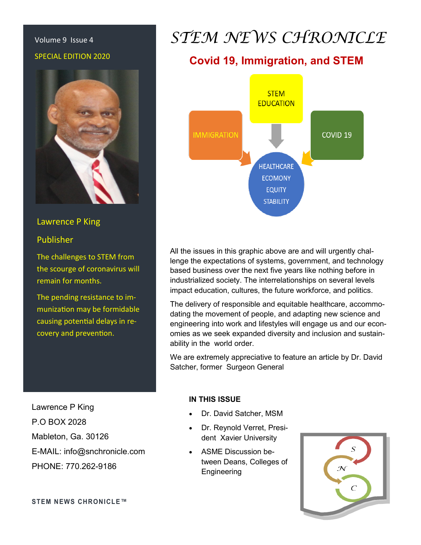# SPECIAL EDITION 2020



#### Lawrence P King

#### Publisher

The challenges to STEM from the scourge of coronavirus will remain for months.

The pending resistance to immunization may be formidable causing potential delays in recovery and prevention.

Lawrence P King P.O BOX 2028 Mableton, Ga. 30126 E-MAIL: info@snchronicle.com PHONE: 770.262-9186

## Volume 9 Issue 4 *STEM NEWS CHRONICLE*

## **Covid 19, Immigration, and STEM**



All the issues in this graphic above are and will urgently challenge the expectations of systems, government, and technology based business over the next five years like nothing before in industrialized society. The interrelationships on several levels impact education, cultures, the future workforce, and politics.

The delivery of responsible and equitable healthcare, accommodating the movement of people, and adapting new science and engineering into work and lifestyles will engage us and our economies as we seek expanded diversity and inclusion and sustainability in the world order.

We are extremely appreciative to feature an article by Dr. David Satcher, former Surgeon General

#### **IN THIS ISSUE**

- Dr. David Satcher, MSM
- Dr. Reynold Verret, President Xavier University
- ASME Discussion between Deans, Colleges of **Engineering**

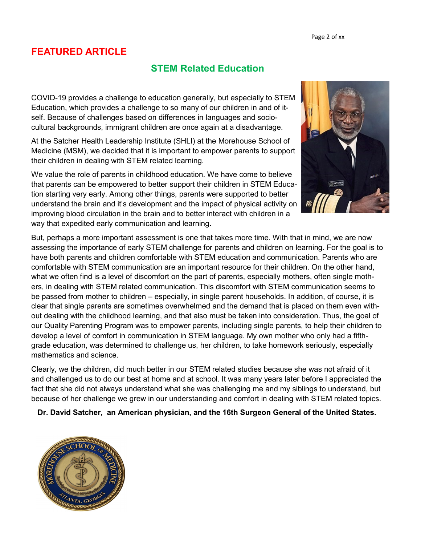## **FEATURED ARTICLE**

### **STEM Related Education**

COVID-19 provides a challenge to education generally, but especially to STEM Education, which provides a challenge to so many of our children in and of itself. Because of challenges based on differences in languages and sociocultural backgrounds, immigrant children are once again at a disadvantage.

At the Satcher Health Leadership Institute (SHLI) at the Morehouse School of Medicine (MSM), we decided that it is important to empower parents to support their children in dealing with STEM related learning.

We value the role of parents in childhood education. We have come to believe that parents can be empowered to better support their children in STEM Education starting very early. Among other things, parents were supported to better understand the brain and it's development and the impact of physical activity on improving blood circulation in the brain and to better interact with children in a way that expedited early communication and learning.



But, perhaps a more important assessment is one that takes more time. With that in mind, we are now assessing the importance of early STEM challenge for parents and children on learning. For the goal is to have both parents and children comfortable with STEM education and communication. Parents who are comfortable with STEM communication are an important resource for their children. On the other hand, what we often find is a level of discomfort on the part of parents, especially mothers, often single mothers, in dealing with STEM related communication. This discomfort with STEM communication seems to be passed from mother to children – especially, in single parent households. In addition, of course, it is clear that single parents are sometimes overwhelmed and the demand that is placed on them even without dealing with the childhood learning, and that also must be taken into consideration. Thus, the goal of our Quality Parenting Program was to empower parents, including single parents, to help their children to develop a level of comfort in communication in STEM language. My own mother who only had a fifthgrade education, was determined to challenge us, her children, to take homework seriously, especially mathematics and science.

Clearly, we the children, did much better in our STEM related studies because she was not afraid of it and challenged us to do our best at home and at school. It was many years later before I appreciated the fact that she did not always understand what she was challenging me and my siblings to understand, but because of her challenge we grew in our understanding and comfort in dealing with STEM related topics.

**Dr. David Satcher, an American physician, and the 16th Surgeon General of the United States.** 

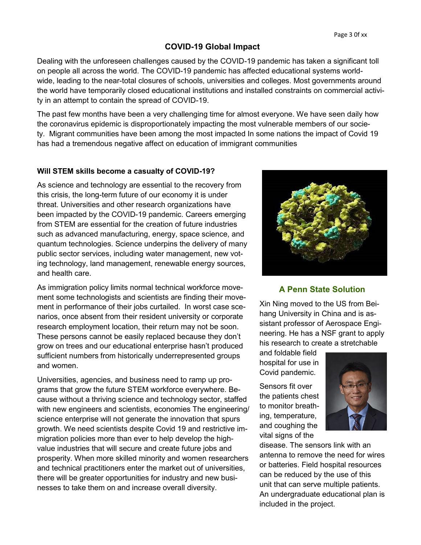#### **COVID-19 Global Impact**

Dealing with the unforeseen challenges caused by the COVID-19 pandemic has taken a significant toll on people all across the world. The COVID-19 pandemic has affected educational systems worldwide, leading to the near-total closures of schools, universities and colleges. Most governments around the world have temporarily closed educational institutions and installed constraints on commercial activity in an attempt to contain the spread of COVID-19.

The past few months have been a very challenging time for almost everyone. We have seen daily how the coronavirus epidemic is disproportionately impacting the most vulnerable members of our society. Migrant communities have been among the most impacted In some nations the impact of Covid 19 has had a tremendous negative affect on education of immigrant communities

#### **Will STEM skills become a casualty of COVID-19?**

As science and technology are essential to the recovery from this crisis, the long-term future of our economy it is under threat. Universities and other research organizations have been impacted by the COVID-19 pandemic. Careers emerging from STEM are essential for the creation of future industries such as advanced manufacturing, energy, space science, and quantum technologies. Science underpins the delivery of many public sector services, including water management, new voting technology, land management, renewable energy sources, and health care.

As immigration policy limits normal technical workforce movement some technologists and scientists are finding their movement in performance of their jobs curtailed. In worst case scenarios, once absent from their resident university or corporate research employment location, their return may not be soon. These persons cannot be easily replaced because they don't grow on trees and our educational enterprise hasn't produced sufficient numbers from historically underrepresented groups and women.

Universities, agencies, and business need to ramp up programs that grow the future STEM workforce everywhere. Because without a thriving science and technology sector, staffed with new engineers and scientists, economies The engineering/ science enterprise will not generate the innovation that spurs growth. We need scientists despite Covid 19 and restrictive immigration policies more than ever to help develop the highvalue industries that will secure and create future jobs and prosperity. When more skilled minority and women researchers and technical practitioners enter the market out of universities, there will be greater opportunities for industry and new businesses to take them on and increase overall diversity.



#### **A Penn State Solution**

Xin Ning moved to the US from Beihang University in China and is assistant professor of Aerospace Engineering. He has a NSF grant to apply his research to create a stretchable

and foldable field hospital for use in Covid pandemic.

Sensors fit over the patients chest to monitor breathing, temperature, and coughing the vital signs of the



disease. The sensors link with an antenna to remove the need for wires or batteries. Field hospital resources can be reduced by the use of this unit that can serve multiple patients. An undergraduate educational plan is included in the project.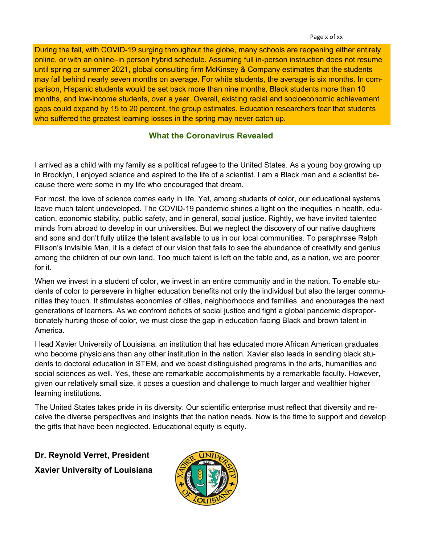During the fall, with COVID-19 surging throughout the globe, many schools are reopening either entirely online, or with an online–in person hybrid schedule. Assuming full in-person instruction does not resume until spring or summer 2021, global consulting firm McKinsey & Company estimates that the students may fall behind nearly seven months on average. For white students, the average is six months. In comparison, Hispanic students would be set back more than nine months, Black students more than 10 months, and low-income students, over a year. Overall, existing racial and socioeconomic achievement gaps could expand by 15 to 20 percent, the group estimates. Education researchers fear that students who suffered the greatest learning losses in the spring may never catch up.

#### **What the Coronavirus Revealed**

I arrived as a child with my family as a political refugee to the United States. As a young boy growing up in Brooklyn, I enjoyed science and aspired to the life of a scientist. I am a Black man and a scientist because there were some in my life who encouraged that dream.

For most, the love of science comes early in life. Yet, among students of color, our educational systems leave much talent undeveloped. The COVID-19 pandemic shines a light on the inequities in health, education, economic stability, public safety, and in general, social justice. Rightly, we have invited talented minds from abroad to develop in our universities. But we neglect the discovery of our native daughters and sons and don't fully utilize the talent available to us in our local communities. To paraphrase Ralph Ellison's Invisible Man, it is a defect of our vision that fails to see the abundance of creativity and genius among the children of our own land. Too much talent is left on the table and, as a nation, we are poorer for it.

When we invest in a student of color, we invest in an entire community and in the nation. To enable students of color to persevere in higher education benefits not only the individual but also the larger communities they touch. It stimulates economies of cities, neighborhoods and families, and encourages the next generations of learners. As we confront deficits of social justice and fight a global pandemic disproportionately hurting those of color, we must close the gap in education facing Black and brown talent in America.

I lead Xavier University of Louisiana, an institution that has educated more African American graduates who become physicians than any other institution in the nation. Xavier also leads in sending black students to doctoral education in STEM, and we boast distinguished programs in the arts, humanities and social sciences as well. Yes, these are remarkable accomplishments by a remarkable faculty. However, given our relatively small size, it poses a question and challenge to much larger and wealthier higher learning institutions.

The United States takes pride in its diversity. Our scientific enterprise must reflect that diversity and receive the diverse perspectives and insights that the nation needs. Now is the time to support and develop the gifts that have been neglected. Educational equity is equity.

**Dr. Reynold Verret, President Xavier University of Louisiana**

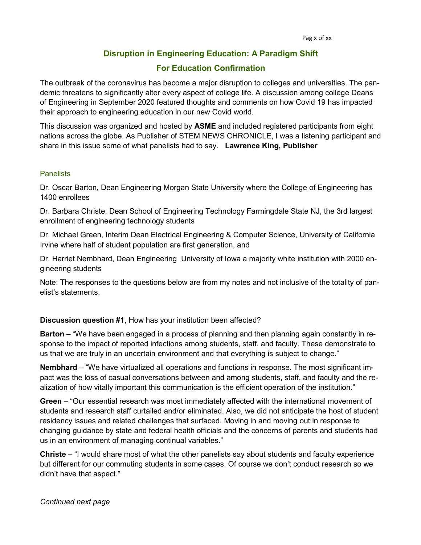#### **Disruption in Engineering Education: A Paradigm Shift**

#### **For Education Confirmation**

The outbreak of the coronavirus has become a major disruption to colleges and universities. The pandemic threatens to significantly alter every aspect of college life. A discussion among college Deans of Engineering in September 2020 featured thoughts and comments on how Covid 19 has impacted their approach to engineering education in our new Covid world.

This discussion was organized and hosted by **ASME** and included registered participants from eight nations across the globe. As Publisher of STEM NEWS CHRONICLE, I was a listening participant and share in this issue some of what panelists had to say. **Lawrence King, Publisher**

#### **Panelists**

Dr. Oscar Barton, Dean Engineering Morgan State University where the College of Engineering has 1400 enrollees

Dr. Barbara Christe, Dean School of Engineering Technology Farmingdale State NJ, the 3rd largest enrollment of engineering technology students

Dr. Michael Green, Interim Dean Electrical Engineering & Computer Science, University of California Irvine where half of student population are first generation, and

Dr. Harriet Nembhard, Dean Engineering University of Iowa a majority white institution with 2000 engineering students

Note: The responses to the questions below are from my notes and not inclusive of the totality of panelist's statements.

#### **Discussion question #1**, How has your institution been affected?

**Barton** – "We have been engaged in a process of planning and then planning again constantly in response to the impact of reported infections among students, staff, and faculty. These demonstrate to us that we are truly in an uncertain environment and that everything is subject to change."

**Nembhard** – "We have virtualized all operations and functions in response. The most significant impact was the loss of casual conversations between and among students, staff, and faculty and the realization of how vitally important this communication is the efficient operation of the institution."

**Green** – "Our essential research was most immediately affected with the international movement of students and research staff curtailed and/or eliminated. Also, we did not anticipate the host of student residency issues and related challenges that surfaced. Moving in and moving out in response to changing guidance by state and federal health officials and the concerns of parents and students had us in an environment of managing continual variables."

**Christe** – "I would share most of what the other panelists say about students and faculty experience but different for our commuting students in some cases. Of course we don't conduct research so we didn't have that aspect."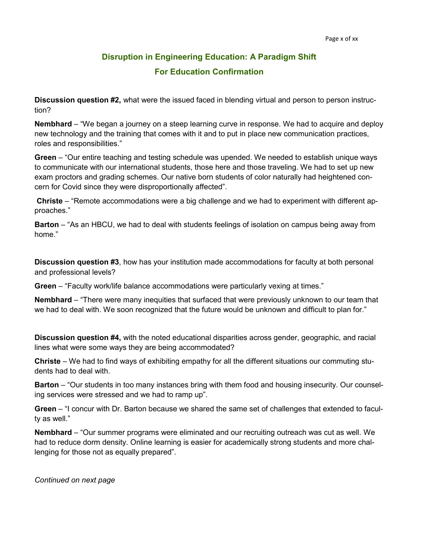## **Disruption in Engineering Education: A Paradigm Shift For Education Confirmation**

**Discussion question #2,** what were the issued faced in blending virtual and person to person instruction?

**Nembhard** – "We began a journey on a steep learning curve in response. We had to acquire and deploy new technology and the training that comes with it and to put in place new communication practices, roles and responsibilities."

**Green** – "Our entire teaching and testing schedule was upended. We needed to establish unique ways to communicate with our international students, those here and those traveling. We had to set up new exam proctors and grading schemes. Our native born students of color naturally had heightened concern for Covid since they were disproportionally affected".

**Christe** – "Remote accommodations were a big challenge and we had to experiment with different approaches."

**Barton** – "As an HBCU, we had to deal with students feelings of isolation on campus being away from home."

**Discussion question #3**, how has your institution made accommodations for faculty at both personal and professional levels?

**Green** – "Faculty work/life balance accommodations were particularly vexing at times."

**Nembhard** – "There were many inequities that surfaced that were previously unknown to our team that we had to deal with. We soon recognized that the future would be unknown and difficult to plan for."

**Discussion question #4,** with the noted educational disparities across gender, geographic, and racial lines what were some ways they are being accommodated?

**Christe** – We had to find ways of exhibiting empathy for all the different situations our commuting students had to deal with.

**Barton** – "Our students in too many instances bring with them food and housing insecurity. Our counseling services were stressed and we had to ramp up".

**Green** – "I concur with Dr. Barton because we shared the same set of challenges that extended to faculty as well."

**Nembhard** – "Our summer programs were eliminated and our recruiting outreach was cut as well. We had to reduce dorm density. Online learning is easier for academically strong students and more challenging for those not as equally prepared".

*Continued on next page*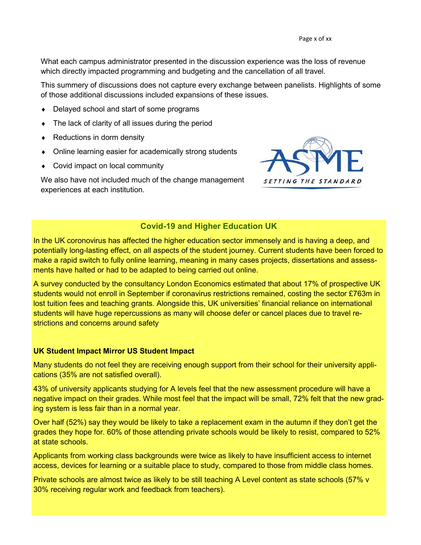What each campus administrator presented in the discussion experience was the loss of revenue which directly impacted programming and budgeting and the cancellation of all travel.

This summery of discussions does not capture every exchange between panelists. Highlights of some of those additional discussions included expansions of these issues.

- Delayed school and start of some programs
- The lack of clarity of all issues during the period
- ◆ Reductions in dorm density
- Online learning easier for academically strong students
- ◆ Covid impact on local community

We also have not included much of the change management experiences at each institution.



#### **Covid-19 and Higher Education UK**

In the UK coronovirus has affected the higher education sector immensely and is having a deep, and potentially long-lasting effect, on all aspects of the student journey. Current students have been forced to make a rapid switch to fully online learning, meaning in many cases projects, dissertations and assessments have halted or had to be adapted to being carried out online.

A survey conducted by the consultancy London Economics estimated that about 17% of prospective UK students would not enroll in September if coronavirus restrictions remained, costing the sector £763m in lost tuition fees and teaching grants. Alongside this, UK universities' financial reliance on international students will have huge repercussions as many will choose defer or cancel places due to travel restrictions and concerns around safety

#### **UK Student Impact Mirror US Student Impact**

Many students do not feel they are receiving enough support from their school for their university applications (35% are not satisfied overall).

43% of university applicants studying for A levels feel that the new assessment procedure will have a negative impact on their grades. While most feel that the impact will be small, 72% felt that the new grading system is less fair than in a normal year.

Over half (52%) say they would be likely to take a replacement exam in the autumn if they don't get the grades they hope for. 60% of those attending private schools would be likely to resist, compared to 52% at state schools.

Applicants from working class backgrounds were twice as likely to have insufficient access to internet access, devices for learning or a suitable place to study, compared to those from middle class homes.

Private schools are almost twice as likely to be still teaching A Level content as state schools (57% v 30% receiving regular work and feedback from teachers).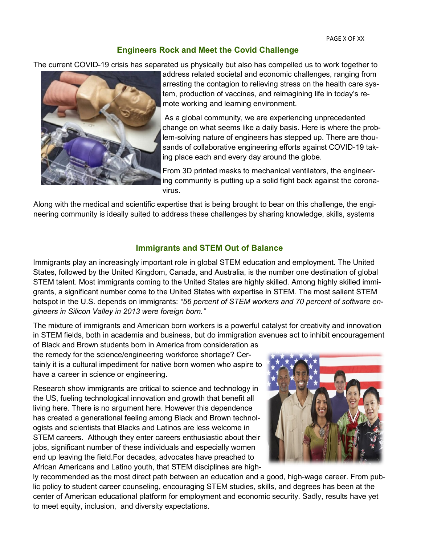#### **Engineers Rock and Meet the Covid Challenge**

The current COVID-19 crisis has separated us physically but also has compelled us to work together to



address related societal and economic challenges, ranging from arresting the contagion to relieving stress on the health care system, production of vaccines, and reimagining life in today's remote working and learning environment.

As a global community, we are experiencing unprecedented change on what seems like a daily basis. Here is where the problem-solving nature of engineers has stepped up. There are thousands of collaborative engineering efforts against COVID-19 taking place each and every day around the globe.

From 3D printed masks to mechanical ventilators, the engineering community is putting up a solid fight back against the coronavirus.

Along with the medical and scientific expertise that is being brought to bear on this challenge, the engineering community is ideally suited to address these challenges by sharing knowledge, skills, systems

#### **Immigrants and STEM Out of Balance**

Immigrants play an increasingly important role in global STEM education and employment. The United States, followed by the United Kingdom, Canada, and Australia, is the number one destination of global STEM talent. Most immigrants coming to the United States are highly skilled. Among highly skilled immigrants, a significant number come to the United States with expertise in STEM. The most salient STEM hotspot in the U.S. depends on immigrants: *"56 percent of STEM workers and 70 percent of software engineers in Silicon Valley in 2013 were foreign born."* 

The mixture of immigrants and American born workers is a powerful catalyst for creativity and innovation in STEM fields, both in academia and business, but do immigration avenues act to inhibit encouragement

of Black and Brown students born in America from consideration as the remedy for the science/engineering workforce shortage? Certainly it is a cultural impediment for native born women who aspire to have a career in science or engineering.

Research show immigrants are critical to science and technology in the US, fueling technological innovation and growth that benefit all living here. There is no argument here. However this dependence has created a generational feeling among Black and Brown technologists and scientists that Blacks and Latinos are less welcome in STEM careers. Although they enter careers enthusiastic about their jobs, significant number of these individuals and especially women end up leaving the field.For decades, advocates have preached to African Americans and Latino youth, that STEM disciplines are high-



ly recommended as the most direct path between an education and a good, high-wage career. From public policy to student career counseling, encouraging STEM studies, skills, and degrees has been at the center of American educational platform for employment and economic security. Sadly, results have yet to meet equity, inclusion, and diversity expectations.